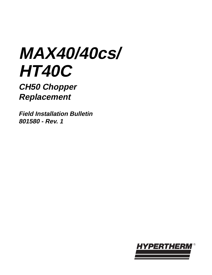# **MAX40/40cs/ HT40C**

**CH50 Chopper Replacement**

**Field Installation Bulletin 801580 - Rev. 1**

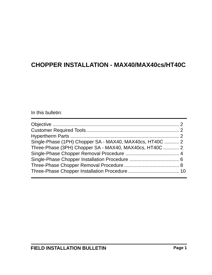#### In this bulletin:

| Single-Phase (1PH) Chopper SA - MAX40, MAX40cs, HT40C  2 |  |
|----------------------------------------------------------|--|
| Three-Phase (3PH) Chopper SA - MAX40, MAX40cs, HT40C  2  |  |
|                                                          |  |
|                                                          |  |
|                                                          |  |
|                                                          |  |
|                                                          |  |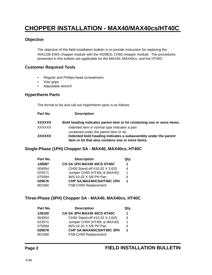#### **Objective**

The objective of this field installation bulletin is to provide instruction for replacing the #041106 EWS chopper module with the #029631 CH50 chopper module. The procedures presented in this bulletin are applicable for the MAX40, MAX40cs, and the HT40C.

#### **Customer Required Tools**

- Regular and Phillips-head screwdrivers
- Vise grips
- Adjustable wrench

#### **Hypertherm Parts**

The format to list and call out Hypertherm parts is as follows:

| Part No. | <b>Description</b>                                                                                                  |
|----------|---------------------------------------------------------------------------------------------------------------------|
| XXXXXX   | Bold heading indicates parent item or kit containing one or more items.                                             |
| XXXXXX   | Indented item in normal type indicates a part                                                                       |
|          | contained under the parent item or kit.                                                                             |
| XXXXXX   | Indented bold heading indicates a subassembly under the parent<br>item or kit that also contains one or more items. |

#### **Single-Phase (1PH) Chopper SA - MAX40, MAX40cs, HT40C**

| Part No. | <b>Description</b>            | Qty. |
|----------|-------------------------------|------|
| 128087   | CH SA 1PH MAX40 40CS HT40C    | 1    |
| 004554   | CH50 Stand-off #10-32 X 3.625 | 4    |
| 023571   | Jumper CH50 (HT40c & MAX40)   | 1    |
| 075094   | M/S:10-32 X 5/8 PH Pan        | 4    |
| 029676   | CHP SA:MAX40/CS/HT40C 1PH     | 1    |
| 801580   | FSB:CH50 Replacement          |      |

#### **Three-Phase (3PH) Chopper SA - MAX40, MAX40cs, HT40C**

| Part No. | <b>Description</b>            | Qty. |
|----------|-------------------------------|------|
| 128100   | CH SA 3PH MAX40 40CS HT40C    | 1    |
| 004554   | CH50 Stand-off #10-32 X 3.625 | 4    |
| 023571   | Jumper CH50 (HT40c & MAX40)   | 1    |
| 075094   | M/S:10-32 X 5/8 PH Pan        | 4    |
| 029678   | CHP SA:MAX40/CS/HT40C 3PH     | 1    |
| 801580   | FSB:CH50 Replacement          |      |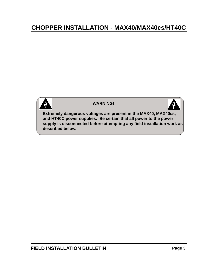

#### **WARNING!**



**Extremely dangerous voltages are present in the MAX40, MAX40cs, and HT40C power supplies. Be certain that all power to the power supply is disconnected before attempting any field installation work as described below.**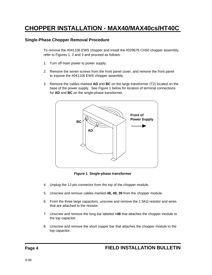#### **Single-Phase Chopper Removal Procedure**

To remove the #041106 EWS chopper and install the #029676 CH50 chopper assembly, refer to Figures 1, 2 and 3 and proceed as follows:

- 1. Turn off main power to power supply.
- 2. Remove the seven screws from the front panel cover, and remove the front panel to expose the #041106 EWS chopper assembly.
- 3. Remove the cables marked **AD** and **BC** on the large transformer (T2) located on the base of the power supply. See Figure 1 below for location of terminal connections for **AD** and **BC** on the single-phase transformer.



**Figure 1 Single-phase transformer**

- 4. Unplug the 12-pin connector from the top of the chopper module.
- 5. Unscrew and remove cables marked **48, 49, 39** from the chopper module.
- 6. From the three large capacitors, unscrew and remove the  $1.5K\Omega$  resistor and wires that are attached to the resistor.
- 7. Unscrew and remove the long bar labeled **+48** that attaches the chopper module to the top capacitor.
- 8. Unscrew and remove the short copper bar that attaches the chopper module to the top capacitor.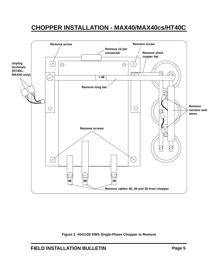

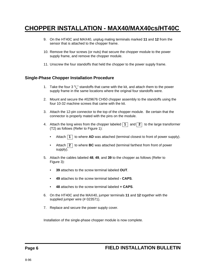- 9. On the HT40C and MAX40, unplug mating terminals marked **11** and **12** from the sensor that is attached to the chopper frame.
- 10. Remove the four screws (or nuts) that secure the chopper module to the power supply frame, and remove the chopper module.
- 11. Unscrew the four standoffs that held the chopper to the power supply frame.

#### **Single-Phase Chopper Installation Procedure**

- 1. Take the four 3  $\frac{5}{8}$ " standoffs that came with the kit, and attach them to the power supply frame in the same locations where the original four standoffs were.
- 2. Mount and secure the #029676 CH50 chopper assembly to the standoffs using the four 10-32 machine screws that came with the kit.
- 3. Attach the 12-pin connector to the top of the chopper module. Be certain that the connector is properly mated with the pins on the module.
- 4. Attach the long wires from the chopper labeled  $\boxed{1}$  and  $\boxed{2}$  to the large transformer (T2) as follows (Refer to Figure 1):
	- Attach  $\boxed{1}$  to where **AD** was attached (terminal closest to front of power supply).
	- Attach **2** to where **BC** was attached (terminal farthest from front of power supply).
- 5. Attach the cables labeled **48**, **49**, and **39** to the chopper as follows (Refer to Figure 3):
	- **39** attaches to the screw terminal labeled **OUT**.
	- **49** attaches to the screw terminal labeled **CAPS**.
	- **48** attaches to the screw terminal labeled **+ CAPS**.
- 6. On the HT40C and the MAX40, jumper terminals **11** and **12** together with the supplied jumper wire (# 023571).
- 7. Replace and secure the power supply cover.

Installation of the single-phase chopper module is now complete.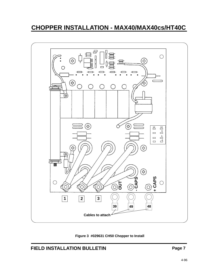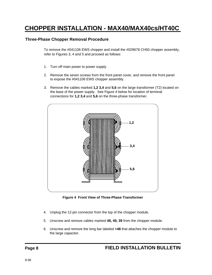#### **Three-Phase Chopper Removal Procedure**

To remove the #041106 EWS chopper and install the #029678 CH50 chopper assembly, refer to Figures 3, 4 and 5 and proceed as follows:

- 1. Turn off main power to power supply.
- 2. Remove the seven screws from the front panel cover, and remove the front panel to expose the #041106 EWS chopper assembly.
- 3. Remove the cables marked **1,2 3,4** and **5,6** on the large transformer (T2) located on the base of the power supply. See Figure 4 below for location of terminal connections for **1,2 3,4** and **5,6** on the three-phase transformer.



**Figure 4 Front View of Three-Phase Transformer**

- 4. Unplug the 12-pin connector from the top of the chopper module.
- 5. Unscrew and remove cables marked **48, 49, 39** from the chopper module.
- 6. Unscrew and remove the long bar labeled **+48** that attaches the chopper module to the large capacitor.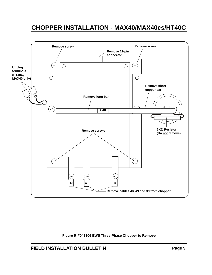

**Figure 5 #041106 EWS Three-Phase Chopper to Remove**